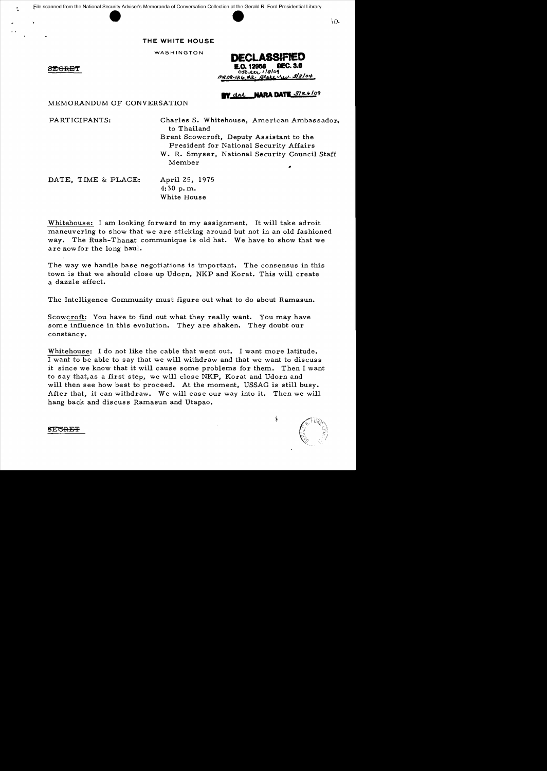File scanned from the National Security Adviser's Memoranda of Conversation Collection at the Gerald R. Ford Presidential Library



# **THE WHITE HOUSE**

WASHINGTON

8EGRET

'.

DECLASSIFIED 12958  $050.221.118/09$ 3/8/04 state.

# **NARA DATE 3/26/09**

MEMORANDUM OF CONVERSATION

PARTICIPANTS: Charles S. Whitehouse, American Ambas sador. to Thailand Brent Scowcroft, Deputy Assistant to the President for National Security Affairs W. R. Smyser, National Security Council Staff Member

DATE, TIME & PLACE: April 25, 1975

 $4:30$  p.m. White House

Whitehouse: I am looking forward to my assignment. It will take adroit maneuvering to show that we are sticking around but not in an old fashioned way. The Rush-Thanat communique is old hat. We have to show that we are now for the long haul.

The way we handle base negotiations is important. The consensus in this town is that we should close up Udorn, NKP and Korat. This will create a dazzle effect.

The Intelligence Community must figure out what to do about Ramasun.

Scowcroft: You have to find out what they really want. You may have some influence in this evolution. They are shaken. They doubt our constancy.

Whitehouse: I do not like the cable that went out. I want more latitude. I want to be able to say that we will withdraw and that we want to discuss it since we know that it will cause some problems for them. Then I want to say that, as a first step, we will close NKP, Korat and Udorn and will then see how best to proceed. At the moment, USSAG is still busy. After that, it can withdraw. We will ease our way into it. Then we will hang back and discuss Ramasun and Utapao.

**SECREF** 

ţ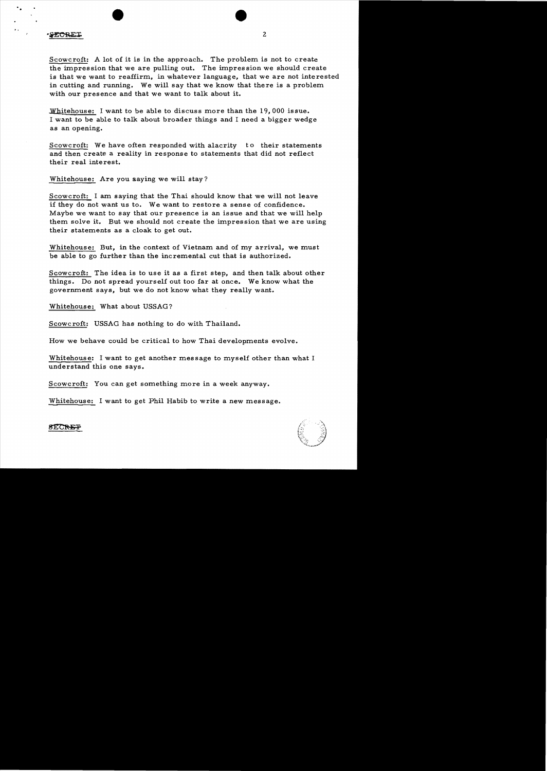**ECRET** 

Scowcroft: A lot of it is in the approach. The problem is not to create the impression that we are pulling out. The impression we should create is that we want to reaffirm, in whatever language, that we are not interested in cutting and running. We will say that we know that there is a problem with our presence and that we want to talk about it.

2

Whitehouse: I want to be able to discuss more than the 19,000 issue. I want to be able to talk about broader things and I need a bigger wedge as an opening.

Scowcroft: We have often responded with alacrity to their statements and then create a reality in response to statements that did not reflect their real interest.

Whitehouse: Are you saying we will stay?

Scowcroft: I am saying that the Thai should know that we will not leave if they do not want us to. We want to restore a sense of confidence. Maybe we want to say that our presence is an issue and that we will help them solve it. But we should not create the impression that we are using their statements as a cloak to get out.

Whitehouse: But, in the context of Vietnam and of my arrival, we must be able to go further than the incremental cut that is authorized.

Scowcroft: The idea is to use it as a first step, and then talk about other things. Do not spread yourself out too far at once. We know what the government says, but we do not know what they really want.

Whitehouse: What about USSAG?

Scowcroft: USSAG has nothing to do with Thailand.

How we behave could be critical to how Thai developments evolve.

Whitehouse: I want to get another message to myself other than what I understand this one says.

Scowcroft: You can get something more in a week anyway.

Whitehouse: I want to get Phil Habib to write a new message.



**SECREP**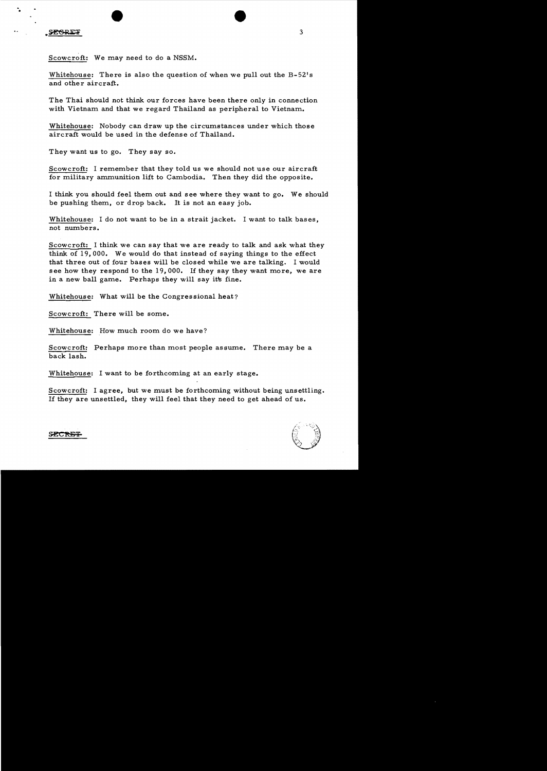. •

Scowcroft: We may need to do a NSSM.

Whitehouse: There is also the question of when we pull out the B-52's and other aircraft.

The Thai should not think our forces have been there only in connection with Vietnam and that we regard Thailand as peripheral to Vietnam.

Whitehouse: Nobody can draw up the circumstances under which those aircraft would be used in the defense of Thailand.

They want us to go. They say so.

Scowcroft: I remember that they told us we should not use our aircraft for military ammunition lift to Cambodia. Then they did the opposite.

I think you should feel them out and see where they want to go. We should be pushing them, or drop back. It is not an easy job.

Whitehouse: I do not want to be in a strait jacket. I want to talk bases, not numbers.

Scowcroft: I think we can say that we are ready to talk and ask what they think of 19,000. We would do that instead of saying things to the effect that three out of four bases will be closed while we are talking. I would see how they respond to the 19,000. If they say they want more, we are in a new ball game. Perhaps they will say its fine.

Whitehouse: What will be the Congressional heat?

Scowcroft: There will be some.

Whitehouse: How much room do we have?

Scowcroft: Perhaps more than most people assume. There may be a back lash.

Whitehouse: I want to be forthcoming at an early stage.

Scowcroft: I agree, but we must be forthcoming without being unsettling. If they are unsettled, they will feel that they need to get ahead of us.



3

SECRET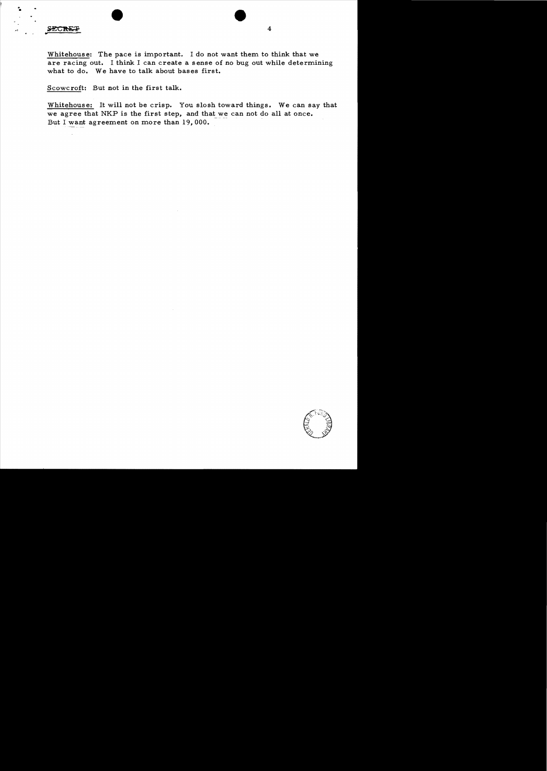#### **SECRET**

"•

Whitehouse: The pace is important. I do not want them to think that we are racing out. I think I can create a sense of no bug out while determining what to do. We have to talk about bases first.

Scowcroft: But not in the first talk.

Whitehouse: It will not be crisp. You slosh toward things. We can say that we agree that NKP is the first step, and that we can not do all at once. But I want agreement on more than 19,000.



4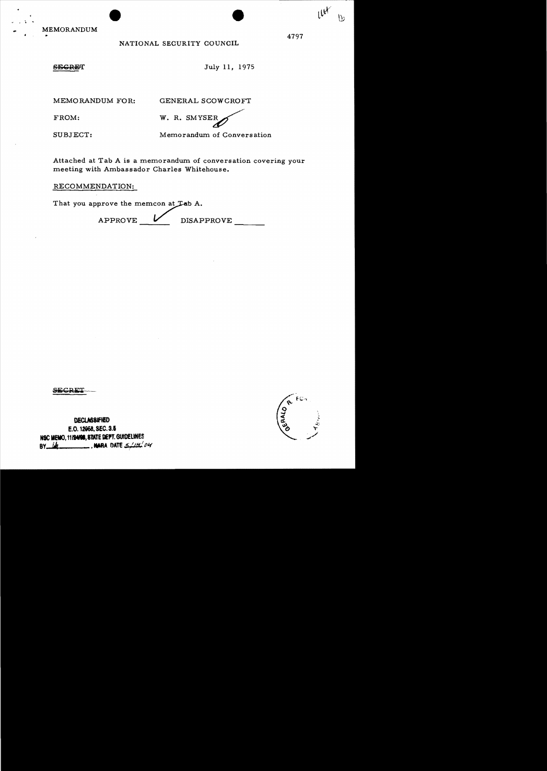**MEMORANDUM** 

## NATIONAL SECURITY COUNCIL

## **SEGRET**

July 11, 1975

MEMORANDUM FOR:

GENERAL SCOWCROFT

FROM:

W. R. SMYSEF

SUBJECT:

Memorandum of Conversation

Attached at Tab A is a memorandum of conversation covering your meeting with Ambassador Charles Whitehouse.

RECOMMENDATION:

That you approve the memcon at Lab A.

APPROVE **DISAPPROVE** 

DECLASSIFIED E.O. 12958, SEC. 3.5 NSC MEMO, 11/24/08, STATE DEPT. GUIDELINES BY  $\mu$ 





 $10<sup>k</sup>$